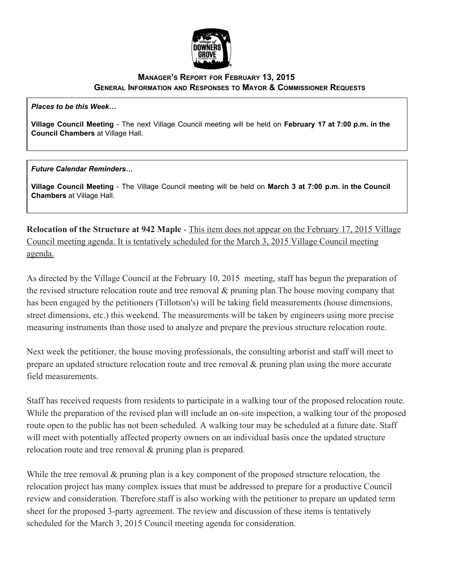

## **MANAGER'S REPORT FOR FEBRUARY 13, 2015 GENERAL INFORMATION AND RESPONSES TO MAYOR & COMMISSIONER REQUESTS**

*Places to be this Week…*

**Village Council Meeting** The next Village Council meeting will be held on **February 17 at 7:00 p.m. in the Council Chambers**at Village Hall.

*Future Calendar Reminders…*

**Village Council Meeting** The Village Council meeting will be held on **March 3 at 7:00 p.m. in the Council Chambers**at Village Hall.

**Relocation of the Structure at 942 Maple - This item does not appear on the February 17, 2015 Village** Council meeting agenda. It is tentatively scheduled for the March 3, 2015 Village Council meeting agenda.

As directed by the Village Council at the February 10, 2015 meeting, staff has begun the preparation of the revised structure relocation route and tree removal  $\&$  pruning plan. The house moving company that has been engaged by the petitioners (Tillotson's) will be taking field measurements (house dimensions, street dimensions, etc.) this weekend. The measurements will be taken by engineers using more precise measuring instruments than those used to analyze and prepare the previous structure relocation route.

Next week the petitioner, the house moving professionals, the consulting arborist and staff will meet to prepare an updated structure relocation route and tree removal & pruning plan using the more accurate field measurements.

Staff has received requests from residents to participate in a walking tour of the proposed relocation route. While the preparation of the revised plan will include an on-site inspection, a walking tour of the proposed route open to the public has not been scheduled. A walking tour may be scheduled at a future date. Staff will meet with potentially affected property owners on an individual basis once the updated structure relocation route and tree removal & pruning plan is prepared.

While the tree removal  $\&$  pruning plan is a key component of the proposed structure relocation, the relocation project has many complex issues that must be addressed to prepare for a productive Council review and consideration. Therefore staff is also working with the petitioner to prepare an updated term sheet for the proposed 3-party agreement. The review and discussion of these items is tentatively scheduled for the March 3, 2015 Council meeting agenda for consideration.